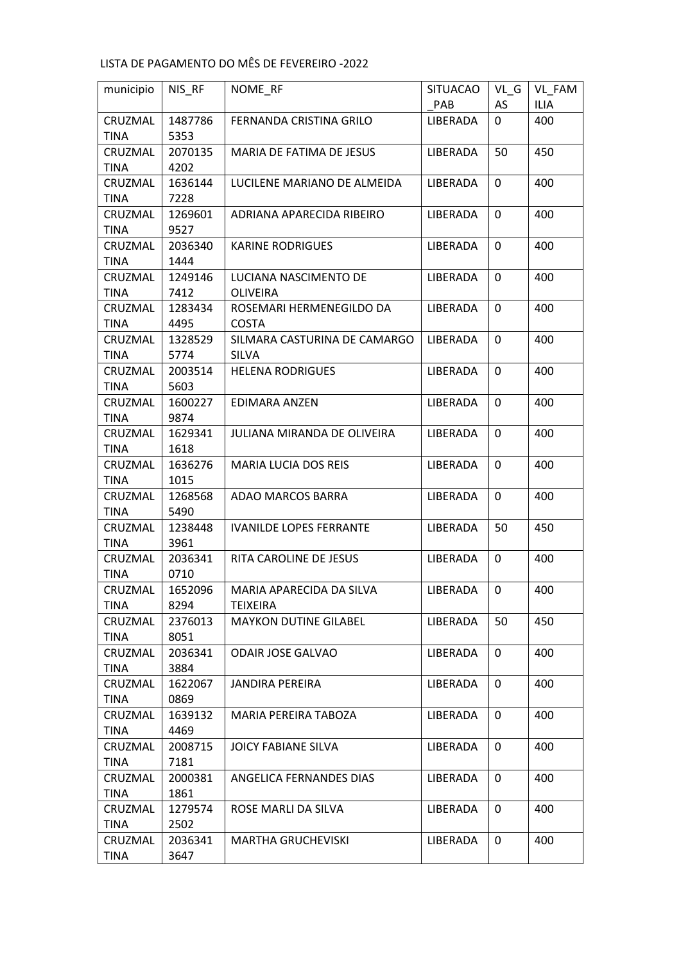| municipio              | NIS_RF          | NOME_RF                            | <b>SITUACAO</b> | $VL_G$       | VL_FAM      |
|------------------------|-----------------|------------------------------------|-----------------|--------------|-------------|
|                        |                 |                                    | PAB             | AS           | <b>ILIA</b> |
| CRUZMAL                | 1487786         | FERNANDA CRISTINA GRILO            | LIBERADA        | 0            | 400         |
| <b>TINA</b>            | 5353            |                                    |                 |              |             |
| CRUZMAL                | 2070135         | MARIA DE FATIMA DE JESUS           | LIBERADA        | 50           | 450         |
| <b>TINA</b>            | 4202            |                                    |                 |              |             |
| CRUZMAL                | 1636144         | LUCILENE MARIANO DE ALMEIDA        | LIBERADA        | 0            | 400         |
| <b>TINA</b>            | 7228            |                                    |                 |              |             |
| CRUZMAL                | 1269601         | ADRIANA APARECIDA RIBEIRO          | LIBERADA        | $\Omega$     | 400         |
| <b>TINA</b>            | 9527            |                                    |                 |              |             |
| CRUZMAL                | 2036340         | <b>KARINE RODRIGUES</b>            | LIBERADA        | 0            | 400         |
| <b>TINA</b>            | 1444            |                                    |                 |              |             |
| CRUZMAL                | 1249146         | LUCIANA NASCIMENTO DE              | LIBERADA        | 0            | 400         |
| <b>TINA</b>            | 7412            | <b>OLIVEIRA</b>                    |                 |              |             |
| CRUZMAL                | 1283434         | ROSEMARI HERMENEGILDO DA           | LIBERADA        | $\Omega$     | 400         |
| <b>TINA</b>            | 4495            | <b>COSTA</b>                       |                 |              |             |
| CRUZMAL                | 1328529         | SILMARA CASTURINA DE CAMARGO       | LIBERADA        | 0            | 400         |
| <b>TINA</b>            | 5774            | <b>SILVA</b>                       |                 |              |             |
| CRUZMAL                | 2003514         | <b>HELENA RODRIGUES</b>            | LIBERADA        | 0            | 400         |
| <b>TINA</b>            | 5603            |                                    |                 |              |             |
| CRUZMAL                | 1600227         | EDIMARA ANZEN                      | LIBERADA        | $\mathbf{0}$ | 400         |
| <b>TINA</b>            | 9874            |                                    |                 |              |             |
| CRUZMAL                | 1629341         | <b>JULIANA MIRANDA DE OLIVEIRA</b> | LIBERADA        | 0            | 400         |
| <b>TINA</b>            | 1618            |                                    |                 |              |             |
| CRUZMAL                | 1636276         | <b>MARIA LUCIA DOS REIS</b>        | LIBERADA        | $\Omega$     | 400         |
| <b>TINA</b>            | 1015            |                                    |                 |              |             |
| CRUZMAL                | 1268568         | ADAO MARCOS BARRA                  | LIBERADA        | 0            | 400         |
| <b>TINA</b>            | 5490            |                                    |                 |              |             |
| CRUZMAL                | 1238448         | <b>IVANILDE LOPES FERRANTE</b>     | LIBERADA        | 50           | 450         |
| <b>TINA</b>            | 3961            |                                    |                 | $\Omega$     |             |
| CRUZMAL<br><b>TINA</b> | 2036341<br>0710 | RITA CAROLINE DE JESUS             | LIBERADA        |              | 400         |
| CRUZMAL                | 1652096         | MARIA APARECIDA DA SILVA           | LIBERADA        | 0            | 400         |
| TINA                   | 8294            | TEIXEIRA                           |                 |              |             |
| CRUZMAL                | 2376013         | <b>MAYKON DUTINE GILABEL</b>       | LIBERADA        | 50           | 450         |
| TINA                   | 8051            |                                    |                 |              |             |
| CRUZMAL                | 2036341         | <b>ODAIR JOSE GALVAO</b>           | LIBERADA        | 0            | 400         |
| <b>TINA</b>            | 3884            |                                    |                 |              |             |
| CRUZMAL                | 1622067         | <b>JANDIRA PEREIRA</b>             | LIBERADA        | 0            | 400         |
| TINA                   | 0869            |                                    |                 |              |             |
| CRUZMAL                | 1639132         | MARIA PEREIRA TABOZA               | <b>LIBERADA</b> | 0            | 400         |
| <b>TINA</b>            | 4469            |                                    |                 |              |             |
| CRUZMAL                | 2008715         | JOICY FABIANE SILVA                | LIBERADA        | 0            | 400         |
| <b>TINA</b>            | 7181            |                                    |                 |              |             |
| CRUZMAL                | 2000381         | ANGELICA FERNANDES DIAS            | LIBERADA        | 0            | 400         |
| <b>TINA</b>            | 1861            |                                    |                 |              |             |
| CRUZMAL                | 1279574         | ROSE MARLI DA SILVA                | LIBERADA        | 0            | 400         |
| <b>TINA</b>            | 2502            |                                    |                 |              |             |
| CRUZMAL                | 2036341         | <b>MARTHA GRUCHEVISKI</b>          | LIBERADA        | 0            | 400         |
| <b>TINA</b>            | 3647            |                                    |                 |              |             |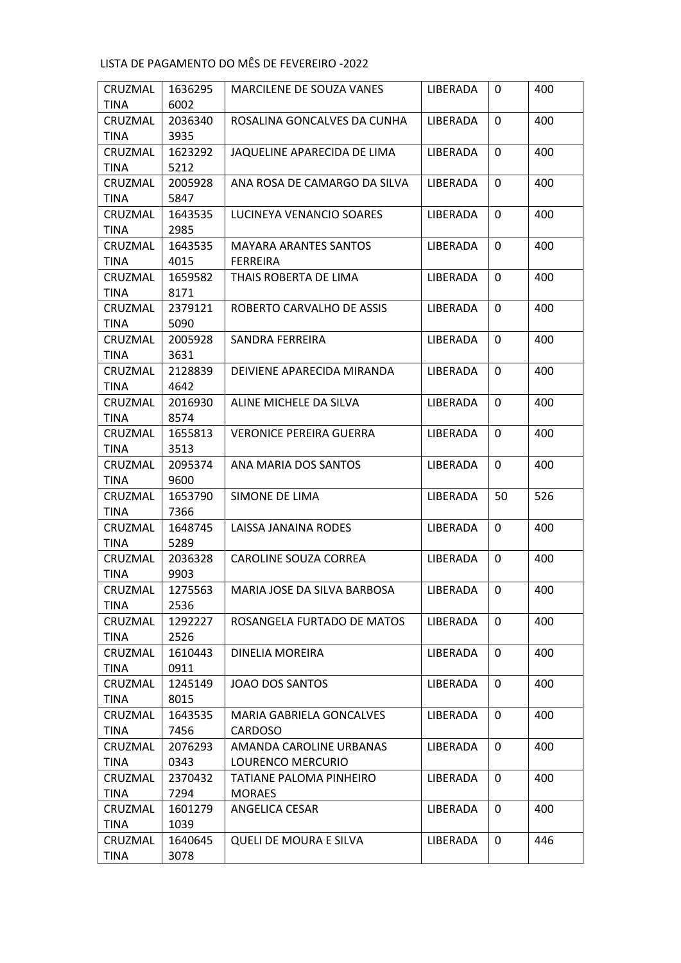| CRUZMAL         | 1636295         | MARCILENE DE SOUZA VANES        | LIBERADA        | 0           | 400 |
|-----------------|-----------------|---------------------------------|-----------------|-------------|-----|
| <b>TINA</b>     | 6002            |                                 |                 |             |     |
| CRUZMAL         | 2036340         | ROSALINA GONCALVES DA CUNHA     | <b>LIBERADA</b> | 0           | 400 |
| <b>TINA</b>     | 3935            |                                 |                 |             |     |
| CRUZMAL         | 1623292         | JAQUELINE APARECIDA DE LIMA     | LIBERADA        | 0           | 400 |
| <b>TINA</b>     | 5212            |                                 |                 |             |     |
| CRUZMAL         | 2005928         | ANA ROSA DE CAMARGO DA SILVA    | LIBERADA        | 0           | 400 |
| <b>TINA</b>     | 5847            |                                 |                 |             |     |
| CRUZMAL         | 1643535         | LUCINEYA VENANCIO SOARES        | LIBERADA        | $\Omega$    | 400 |
| TINA            | 2985            |                                 |                 |             |     |
| CRUZMAL         | 1643535         | <b>MAYARA ARANTES SANTOS</b>    | LIBERADA        | 0           | 400 |
| <b>TINA</b>     | 4015            | <b>FERREIRA</b>                 |                 |             |     |
| CRUZMAL         | 1659582         | THAIS ROBERTA DE LIMA           | LIBERADA        | 0           | 400 |
| <b>TINA</b>     | 8171            |                                 |                 |             |     |
| CRUZMAL         | 2379121         | ROBERTO CARVALHO DE ASSIS       | LIBERADA        | $\Omega$    | 400 |
| <b>TINA</b>     | 5090            |                                 |                 |             |     |
| CRUZMAL         | 2005928         | SANDRA FERREIRA                 | LIBERADA        | 0           | 400 |
| TINA            | 3631            |                                 |                 |             |     |
| CRUZMAL         | 2128839         | DEIVIENE APARECIDA MIRANDA      | LIBERADA        | 0           | 400 |
| <b>TINA</b>     | 4642            |                                 |                 |             |     |
| CRUZMAL         | 2016930         | ALINE MICHELE DA SILVA          | <b>LIBERADA</b> | $\Omega$    | 400 |
| <b>TINA</b>     | 8574            |                                 |                 |             |     |
| CRUZMAL         | 1655813         | <b>VERONICE PEREIRA GUERRA</b>  | LIBERADA        | 0           | 400 |
| <b>TINA</b>     | 3513            |                                 |                 |             |     |
| CRUZMAL         | 2095374         | ANA MARIA DOS SANTOS            | LIBERADA        | $\Omega$    | 400 |
| <b>TINA</b>     | 9600            |                                 |                 |             |     |
| CRUZMAL         | 1653790         | SIMONE DE LIMA                  | LIBERADA        | 50          | 526 |
| <b>TINA</b>     | 7366            |                                 |                 |             |     |
| CRUZMAL         | 1648745         | LAISSA JANAINA RODES            | <b>LIBERADA</b> | $\Omega$    | 400 |
| <b>TINA</b>     | 5289            |                                 |                 |             |     |
| CRUZMAL         | 2036328         | <b>CAROLINE SOUZA CORREA</b>    | LIBERADA        | 0           | 400 |
| <b>TINA</b>     | 9903            |                                 |                 |             |     |
| CRUZMAL         | 1275563<br>2536 | MARIA JOSE DA SILVA BARBOSA     | LIBERADA        | 0           | 400 |
| TINA<br>CRUZMAL | 1292227         | ROSANGELA FURTADO DE MATOS      | LIBERADA        | 0           | 400 |
| TINA            | 2526            |                                 |                 |             |     |
| CRUZMAL         | 1610443         | DINELIA MOREIRA                 | LIBERADA        | 0           | 400 |
| <b>TINA</b>     | 0911            |                                 |                 |             |     |
| CRUZMAL         | 1245149         | <b>JOAO DOS SANTOS</b>          | LIBERADA        | $\mathbf 0$ | 400 |
| <b>TINA</b>     | 8015            |                                 |                 |             |     |
| CRUZMAL         | 1643535         | <b>MARIA GABRIELA GONCALVES</b> | LIBERADA        | 0           | 400 |
| TINA            | 7456            | <b>CARDOSO</b>                  |                 |             |     |
| CRUZMAL         | 2076293         | AMANDA CAROLINE URBANAS         | LIBERADA        | 0           | 400 |
| <b>TINA</b>     | 0343            | LOURENCO MERCURIO               |                 |             |     |
| CRUZMAL         | 2370432         | TATIANE PALOMA PINHEIRO         | LIBERADA        | 0           | 400 |
| <b>TINA</b>     | 7294            | <b>MORAES</b>                   |                 |             |     |
| CRUZMAL         | 1601279         | ANGELICA CESAR                  | LIBERADA        | 0           | 400 |
| <b>TINA</b>     | 1039            |                                 |                 |             |     |
| CRUZMAL         | 1640645         | <b>QUELI DE MOURA E SILVA</b>   | LIBERADA        | 0           | 446 |
| <b>TINA</b>     | 3078            |                                 |                 |             |     |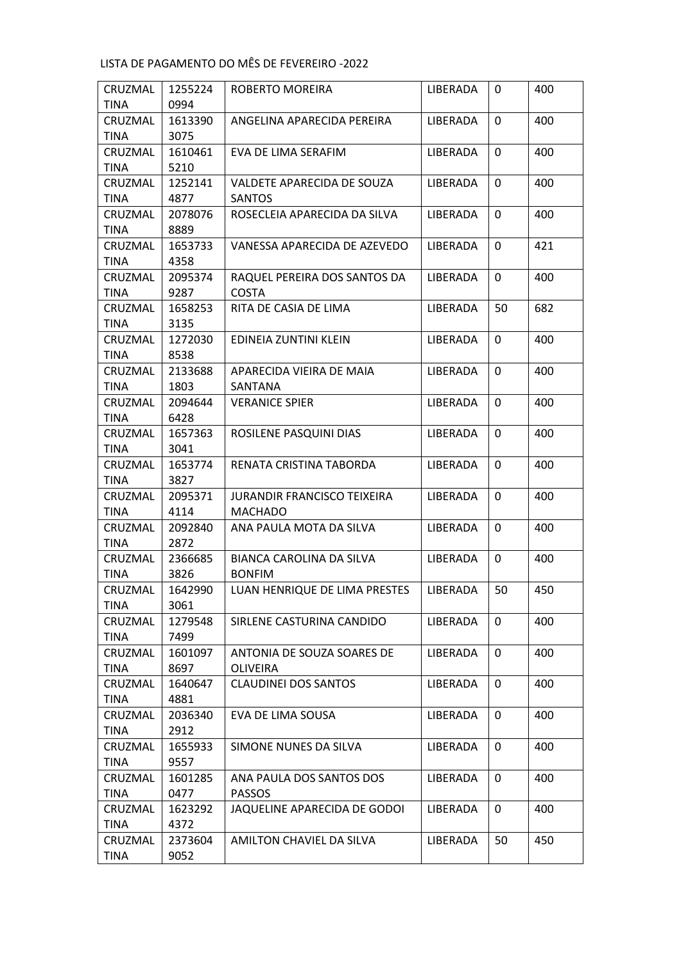| CRUZMAL     | 1255224 | ROBERTO MOREIRA                    | LIBERADA        | 0            | 400 |
|-------------|---------|------------------------------------|-----------------|--------------|-----|
| <b>TINA</b> | 0994    |                                    |                 |              |     |
| CRUZMAL     | 1613390 | ANGELINA APARECIDA PEREIRA         | <b>LIBERADA</b> | 0            | 400 |
| <b>TINA</b> | 3075    |                                    |                 |              |     |
| CRUZMAL     | 1610461 | EVA DE LIMA SERAFIM                | LIBERADA        | 0            | 400 |
| <b>TINA</b> | 5210    |                                    |                 |              |     |
| CRUZMAL     | 1252141 | VALDETE APARECIDA DE SOUZA         | LIBERADA        | 0            | 400 |
| <b>TINA</b> | 4877    | <b>SANTOS</b>                      |                 |              |     |
| CRUZMAL     | 2078076 | ROSECLEIA APARECIDA DA SILVA       | LIBERADA        | $\Omega$     | 400 |
| TINA        | 8889    |                                    |                 |              |     |
| CRUZMAL     | 1653733 | VANESSA APARECIDA DE AZEVEDO       | LIBERADA        | 0            | 421 |
| <b>TINA</b> | 4358    |                                    |                 |              |     |
| CRUZMAL     | 2095374 | RAQUEL PEREIRA DOS SANTOS DA       | LIBERADA        | 0            | 400 |
| <b>TINA</b> | 9287    | <b>COSTA</b>                       |                 |              |     |
| CRUZMAL     | 1658253 | RITA DE CASIA DE LIMA              | LIBERADA        | 50           | 682 |
| <b>TINA</b> | 3135    |                                    |                 |              |     |
| CRUZMAL     | 1272030 | EDINEIA ZUNTINI KLEIN              | LIBERADA        | 0            | 400 |
| <b>TINA</b> | 8538    |                                    |                 |              |     |
| CRUZMAL     | 2133688 | APARECIDA VIEIRA DE MAIA           | LIBERADA        | 0            | 400 |
| <b>TINA</b> | 1803    | SANTANA                            |                 |              |     |
| CRUZMAL     | 2094644 | <b>VERANICE SPIER</b>              | LIBERADA        | $\mathbf{0}$ | 400 |
| <b>TINA</b> | 6428    |                                    |                 |              |     |
| CRUZMAL     | 1657363 | ROSILENE PASQUINI DIAS             | LIBERADA        | 0            | 400 |
| <b>TINA</b> | 3041    |                                    |                 |              |     |
| CRUZMAL     | 1653774 | RENATA CRISTINA TABORDA            | LIBERADA        | $\Omega$     | 400 |
| <b>TINA</b> | 3827    |                                    |                 |              |     |
| CRUZMAL     | 2095371 | <b>JURANDIR FRANCISCO TEIXEIRA</b> | LIBERADA        | 0            | 400 |
| <b>TINA</b> | 4114    | <b>MACHADO</b>                     |                 |              |     |
| CRUZMAL     | 2092840 | ANA PAULA MOTA DA SILVA            | LIBERADA        | $\Omega$     | 400 |
| <b>TINA</b> | 2872    |                                    |                 |              |     |
| CRUZMAL     | 2366685 | BIANCA CAROLINA DA SILVA           | LIBERADA        | 0            | 400 |
| <b>TINA</b> | 3826    | <b>BONFIM</b>                      |                 |              |     |
| CRUZMAL     | 1642990 | LUAN HENRIQUE DE LIMA PRESTES      | LIBERADA        | 50           | 450 |
| TINA        | 3061    |                                    |                 |              |     |
| CRUZMAL     | 1279548 | SIRLENE CASTURINA CANDIDO          | LIBERADA        | 0            | 400 |
| TINA        | 7499    |                                    |                 |              |     |
| CRUZMAL     | 1601097 | ANTONIA DE SOUZA SOARES DE         | LIBERADA        | 0            | 400 |
| <b>TINA</b> | 8697    | <b>OLIVEIRA</b>                    |                 |              |     |
| CRUZMAL     | 1640647 | <b>CLAUDINEI DOS SANTOS</b>        | LIBERADA        | $\mathbf 0$  | 400 |
| <b>TINA</b> | 4881    |                                    |                 |              |     |
| CRUZMAL     | 2036340 | EVA DE LIMA SOUSA                  | LIBERADA        | 0            | 400 |
| TINA        | 2912    |                                    |                 |              |     |
| CRUZMAL     | 1655933 | SIMONE NUNES DA SILVA              | LIBERADA        | 0            | 400 |
| <b>TINA</b> | 9557    |                                    |                 |              |     |
| CRUZMAL     | 1601285 | ANA PAULA DOS SANTOS DOS           | LIBERADA        | 0            | 400 |
| <b>TINA</b> | 0477    | <b>PASSOS</b>                      |                 |              |     |
| CRUZMAL     | 1623292 | JAQUELINE APARECIDA DE GODOI       | LIBERADA        | 0            | 400 |
| <b>TINA</b> | 4372    |                                    |                 |              |     |
| CRUZMAL     | 2373604 | AMILTON CHAVIEL DA SILVA           | LIBERADA        | 50           | 450 |
| TINA        | 9052    |                                    |                 |              |     |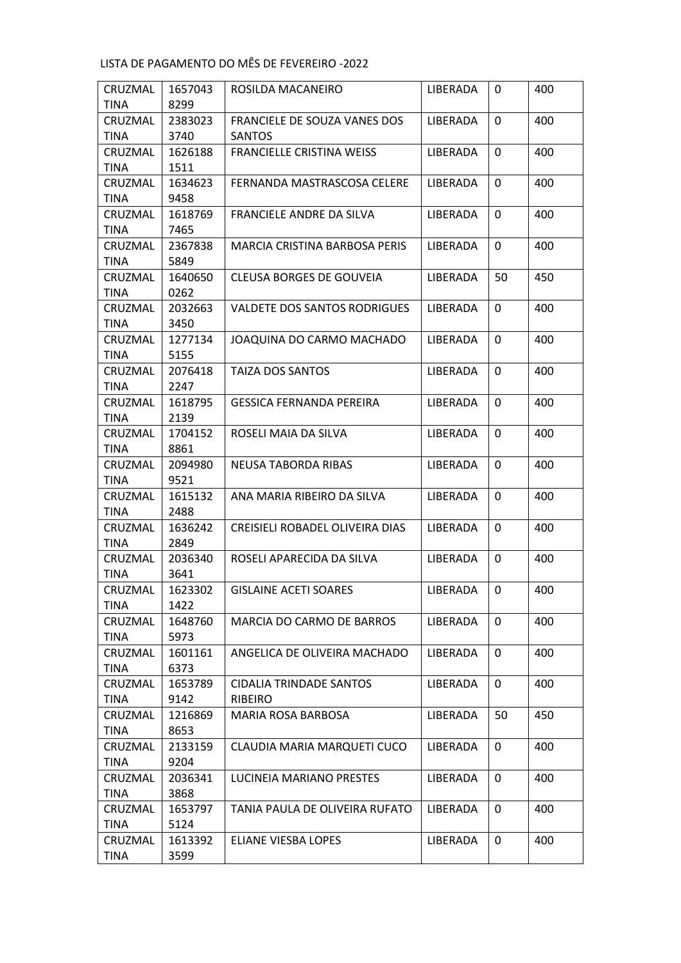| CRUZMAL                | 1657043         | ROSILDA MACANEIRO                    | LIBERADA        | $\mathbf{0}$ | 400 |
|------------------------|-----------------|--------------------------------------|-----------------|--------------|-----|
| <b>TINA</b>            | 8299            |                                      |                 |              |     |
| CRUZMAL                | 2383023         | FRANCIELE DE SOUZA VANES DOS         | LIBERADA        | $\mathbf{0}$ | 400 |
| <b>TINA</b>            | 3740            | <b>SANTOS</b>                        |                 |              |     |
| CRUZMAL                | 1626188         | <b>FRANCIELLE CRISTINA WEISS</b>     | LIBERADA        | 0            | 400 |
| <b>TINA</b>            | 1511            |                                      |                 |              |     |
| CRUZMAL                | 1634623         | FERNANDA MASTRASCOSA CELERE          | <b>LIBERADA</b> | $\Omega$     | 400 |
| TINA                   | 9458            |                                      |                 |              |     |
| CRUZMAL                | 1618769         | FRANCIELE ANDRE DA SILVA             | LIBERADA        | 0            | 400 |
| TINA                   | 7465            |                                      |                 |              |     |
| CRUZMAL                | 2367838         | <b>MARCIA CRISTINA BARBOSA PERIS</b> | LIBERADA        | $\Omega$     | 400 |
| <b>TINA</b>            | 5849            |                                      |                 |              |     |
| CRUZMAL                | 1640650         | <b>CLEUSA BORGES DE GOUVEIA</b>      | LIBERADA        | 50           | 450 |
| <b>TINA</b>            | 0262            |                                      |                 |              |     |
| CRUZMAL                | 2032663         | <b>VALDETE DOS SANTOS RODRIGUES</b>  | <b>LIBERADA</b> | 0            | 400 |
| TINA                   | 3450            |                                      |                 |              |     |
| CRUZMAL                | 1277134         | JOAQUINA DO CARMO MACHADO            | <b>LIBERADA</b> | 0            | 400 |
| <b>TINA</b>            | 5155            |                                      |                 |              |     |
| CRUZMAL                | 2076418         | <b>TAIZA DOS SANTOS</b>              | <b>LIBERADA</b> | $\mathbf{0}$ | 400 |
| <b>TINA</b>            | 2247            |                                      |                 |              |     |
| CRUZMAL                | 1618795         | <b>GESSICA FERNANDA PEREIRA</b>      | <b>LIBERADA</b> | 0            | 400 |
| TINA                   | 2139            |                                      |                 |              |     |
| CRUZMAL                | 1704152         | ROSELI MAIA DA SILVA                 | LIBERADA        | $\Omega$     | 400 |
| TINA                   | 8861            |                                      |                 |              |     |
| CRUZMAL                | 2094980         | NEUSA TABORDA RIBAS                  | LIBERADA        | 0            | 400 |
| <b>TINA</b>            | 9521            |                                      |                 |              |     |
| CRUZMAL                | 1615132         | ANA MARIA RIBEIRO DA SILVA           | <b>LIBERADA</b> | $\Omega$     | 400 |
| <b>TINA</b>            | 2488            |                                      |                 |              |     |
| CRUZMAL                | 1636242         | CREISIELI ROBADEL OLIVEIRA DIAS      | LIBERADA        | 0            | 400 |
| TINA                   | 2849            |                                      |                 |              |     |
| CRUZMAL                | 2036340         | ROSELI APARECIDA DA SILVA            | LIBERADA        | 0            | 400 |
| <b>TINA</b>            | 3641            |                                      |                 |              |     |
| CRUZMAL                | 1623302         | <b>GISLAINE ACETI SOARES</b>         | LIBERADA        | 0            | 400 |
| <b>TINA</b><br>CRUZMAL | 1422<br>1648760 | MARCIA DO CARMO DE BARROS            | LIBERADA        | $\mathbf 0$  | 400 |
| TINA                   | 5973            |                                      |                 |              |     |
| CRUZMAL                | 1601161         | ANGELICA DE OLIVEIRA MACHADO         | LIBERADA        | $\mathbf 0$  | 400 |
| <b>TINA</b>            | 6373            |                                      |                 |              |     |
| CRUZMAL                | 1653789         | CIDALIA TRINDADE SANTOS              | LIBERADA        | 0            | 400 |
| TINA                   | 9142            | <b>RIBEIRO</b>                       |                 |              |     |
| CRUZMAL                | 1216869         | MARIA ROSA BARBOSA                   | LIBERADA        | 50           | 450 |
| TINA                   | 8653            |                                      |                 |              |     |
| CRUZMAL                | 2133159         | CLAUDIA MARIA MARQUETI CUCO          | LIBERADA        | 0            | 400 |
| <b>TINA</b>            | 9204            |                                      |                 |              |     |
| CRUZMAL                | 2036341         | LUCINEIA MARIANO PRESTES             | LIBERADA        | 0            | 400 |
| <b>TINA</b>            | 3868            |                                      |                 |              |     |
| CRUZMAL                | 1653797         | TANIA PAULA DE OLIVEIRA RUFATO       | LIBERADA        | 0            | 400 |
| TINA                   | 5124            |                                      |                 |              |     |
| CRUZMAL                | 1613392         | ELIANE VIESBA LOPES                  | LIBERADA        | 0            | 400 |
| <b>TINA</b>            | 3599            |                                      |                 |              |     |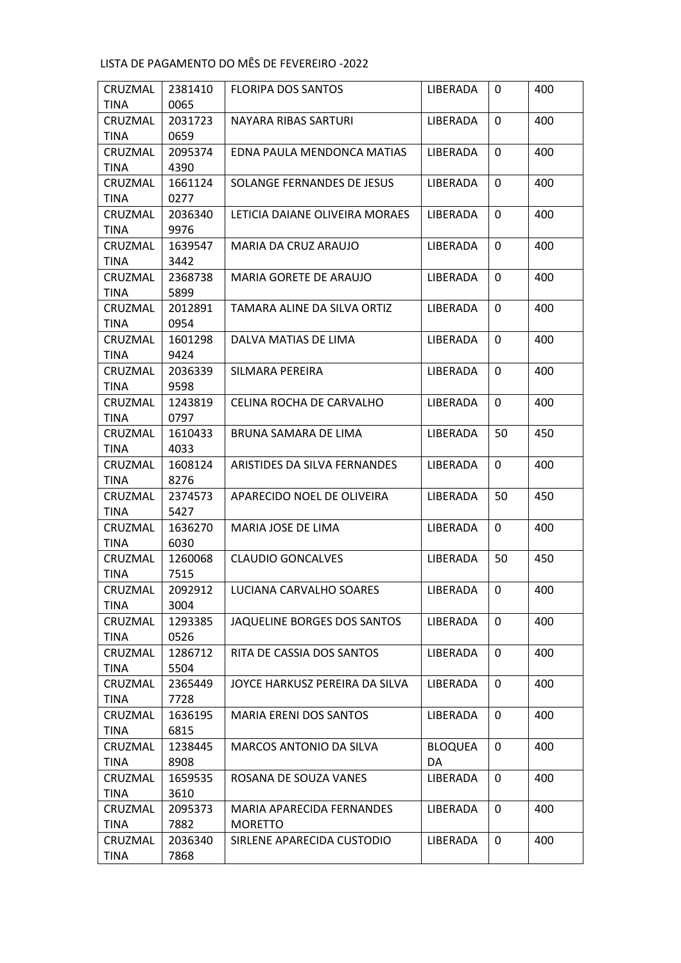| CRUZMAL                | 2381410         | <b>FLORIPA DOS SANTOS</b>        | LIBERADA        | 0            | 400 |
|------------------------|-----------------|----------------------------------|-----------------|--------------|-----|
| <b>TINA</b>            | 0065            |                                  |                 |              |     |
| CRUZMAL                | 2031723         | NAYARA RIBAS SARTURI             | LIBERADA        | 0            | 400 |
| TINA                   | 0659            |                                  |                 |              |     |
| CRUZMAL                | 2095374         | EDNA PAULA MENDONCA MATIAS       | <b>LIBERADA</b> | 0            | 400 |
| <b>TINA</b>            | 4390            |                                  |                 |              |     |
| CRUZMAL                | 1661124         | SOLANGE FERNANDES DE JESUS       | <b>LIBERADA</b> | 0            | 400 |
| <b>TINA</b>            | 0277            |                                  |                 |              |     |
| CRUZMAL                | 2036340         | LETICIA DAIANE OLIVEIRA MORAES   | LIBERADA        | 0            | 400 |
| <b>TINA</b>            | 9976            |                                  |                 |              |     |
| CRUZMAL                | 1639547         | MARIA DA CRUZ ARAUJO             | LIBERADA        | $\Omega$     | 400 |
| <b>TINA</b>            | 3442            |                                  |                 |              |     |
| CRUZMAL                | 2368738         | MARIA GORETE DE ARAUJO           | LIBERADA        | 0            | 400 |
| <b>TINA</b>            | 5899            |                                  |                 |              |     |
| CRUZMAL                | 2012891         | TAMARA ALINE DA SILVA ORTIZ      | <b>LIBERADA</b> | 0            | 400 |
| <b>TINA</b>            | 0954            |                                  |                 |              |     |
| CRUZMAL                | 1601298         | DALVA MATIAS DE LIMA             | LIBERADA        | 0            | 400 |
| <b>TINA</b>            | 9424            |                                  |                 |              |     |
| CRUZMAL                | 2036339         | SILMARA PEREIRA                  | LIBERADA        | 0            | 400 |
| <b>TINA</b>            | 9598            |                                  |                 |              |     |
| CRUZMAL                | 1243819         | CELINA ROCHA DE CARVALHO         | <b>LIBERADA</b> | 0            | 400 |
| <b>TINA</b>            | 0797            |                                  |                 |              |     |
| CRUZMAL                | 1610433         | BRUNA SAMARA DE LIMA             | LIBERADA        | 50           | 450 |
| <b>TINA</b>            | 4033            |                                  |                 | $\mathbf{0}$ | 400 |
| CRUZMAL<br><b>TINA</b> | 1608124<br>8276 | ARISTIDES DA SILVA FERNANDES     | LIBERADA        |              |     |
| CRUZMAL                | 2374573         | APARECIDO NOEL DE OLIVEIRA       | LIBERADA        | 50           | 450 |
| <b>TINA</b>            | 5427            |                                  |                 |              |     |
| CRUZMAL                | 1636270         | MARIA JOSE DE LIMA               | <b>LIBERADA</b> | 0            | 400 |
| <b>TINA</b>            | 6030            |                                  |                 |              |     |
| CRUZMAL                | 1260068         | <b>CLAUDIO GONCALVES</b>         | LIBERADA        | 50           | 450 |
| <b>TINA</b>            | 7515            |                                  |                 |              |     |
| CRUZMAL                | 2092912         | LUCIANA CARVALHO SOARES          | LIBERADA        | 0            | 400 |
| TINA                   | 3004            |                                  |                 |              |     |
| CRUZMAL                | 1293385         | JAQUELINE BORGES DOS SANTOS      | LIBERADA        | 0            | 400 |
| TINA                   | 0526            |                                  |                 |              |     |
| CRUZMAL                | 1286712         | RITA DE CASSIA DOS SANTOS        | <b>LIBERADA</b> | 0            | 400 |
| <b>TINA</b>            | 5504            |                                  |                 |              |     |
| CRUZMAL                | 2365449         | JOYCE HARKUSZ PEREIRA DA SILVA   | LIBERADA        | 0            | 400 |
| TINA                   | 7728            |                                  |                 |              |     |
| CRUZMAL                | 1636195         | <b>MARIA ERENI DOS SANTOS</b>    | LIBERADA        | $\mathbf{0}$ | 400 |
| TINA                   | 6815            |                                  |                 |              |     |
| CRUZMAL                | 1238445         | MARCOS ANTONIO DA SILVA          | <b>BLOQUEA</b>  | 0            | 400 |
| TINA                   | 8908            |                                  | DA              |              |     |
| CRUZMAL                | 1659535         | ROSANA DE SOUZA VANES            | LIBERADA        | 0            | 400 |
| <b>TINA</b>            | 3610            |                                  |                 |              |     |
| CRUZMAL                | 2095373         | <b>MARIA APARECIDA FERNANDES</b> | LIBERADA        | 0            | 400 |
| TINA                   | 7882            | <b>MORETTO</b>                   |                 |              |     |
| CRUZMAL                | 2036340         | SIRLENE APARECIDA CUSTODIO       | LIBERADA        | 0            | 400 |
| <b>TINA</b>            | 7868            |                                  |                 |              |     |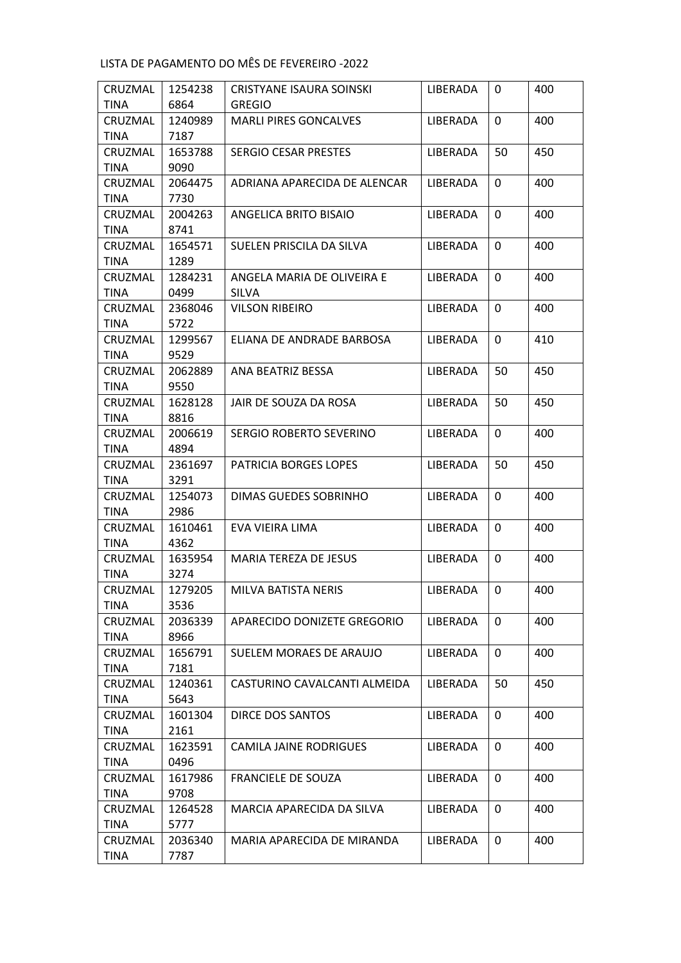| CRUZMAL                | 1254238         | CRISTYANE ISAURA SOINSKI      | LIBERADA        | $\mathbf{0}$ | 400 |
|------------------------|-----------------|-------------------------------|-----------------|--------------|-----|
| <b>TINA</b>            | 6864            | <b>GREGIO</b>                 |                 |              |     |
| CRUZMAL                | 1240989         | <b>MARLI PIRES GONCALVES</b>  | LIBERADA        | 0            | 400 |
| <b>TINA</b>            | 7187            |                               |                 |              |     |
| CRUZMAL                | 1653788         | <b>SERGIO CESAR PRESTES</b>   | LIBERADA        | 50           | 450 |
| <b>TINA</b>            | 9090            |                               |                 |              |     |
| CRUZMAL                | 2064475         | ADRIANA APARECIDA DE ALENCAR  | LIBERADA        | 0            | 400 |
| <b>TINA</b>            | 7730            |                               |                 |              |     |
| CRUZMAL                | 2004263         | ANGELICA BRITO BISAIO         | LIBERADA        | 0            | 400 |
| <b>TINA</b>            | 8741            |                               |                 |              |     |
| CRUZMAL                | 1654571         | SUELEN PRISCILA DA SILVA      | LIBERADA        | $\Omega$     | 400 |
| <b>TINA</b>            | 1289            |                               |                 |              |     |
| CRUZMAL                | 1284231         | ANGELA MARIA DE OLIVEIRA E    | LIBERADA        | 0            | 400 |
| <b>TINA</b>            | 0499            | <b>SILVA</b>                  |                 |              |     |
| CRUZMAL                | 2368046         | <b>VILSON RIBEIRO</b>         | <b>LIBERADA</b> | 0            | 400 |
| <b>TINA</b>            | 5722            |                               |                 |              |     |
| CRUZMAL                | 1299567         | ELIANA DE ANDRADE BARBOSA     | LIBERADA        | 0            | 410 |
| <b>TINA</b>            | 9529            |                               |                 |              |     |
| CRUZMAL                | 2062889         | ANA BEATRIZ BESSA             | LIBERADA        | 50           | 450 |
| <b>TINA</b>            | 9550            |                               |                 |              |     |
| CRUZMAL                | 1628128         | JAIR DE SOUZA DA ROSA         | LIBERADA        | 50           | 450 |
| <b>TINA</b>            | 8816            |                               |                 |              |     |
| CRUZMAL                | 2006619         | SERGIO ROBERTO SEVERINO       | LIBERADA        | $\mathbf{0}$ | 400 |
| <b>TINA</b>            | 4894            |                               |                 |              |     |
| CRUZMAL<br><b>TINA</b> | 2361697<br>3291 | PATRICIA BORGES LOPES         | LIBERADA        | 50           | 450 |
| CRUZMAL                | 1254073         | DIMAS GUEDES SOBRINHO         | LIBERADA        | $\mathbf{0}$ | 400 |
| <b>TINA</b>            | 2986            |                               |                 |              |     |
| CRUZMAL                | 1610461         | EVA VIEIRA LIMA               | LIBERADA        | $\Omega$     | 400 |
| <b>TINA</b>            | 4362            |                               |                 |              |     |
| CRUZMAL                | 1635954         | MARIA TEREZA DE JESUS         | LIBERADA        | $\Omega$     | 400 |
| <b>TINA</b>            | 3274            |                               |                 |              |     |
| CRUZMAL                | 1279205         | MILVA BATISTA NERIS           | LIBERADA        | 0            | 400 |
| TINA                   | 3536            |                               |                 |              |     |
| CRUZMAL                | 2036339         | APARECIDO DONIZETE GREGORIO   | LIBERADA        | 0            | 400 |
| TINA                   | 8966            |                               |                 |              |     |
| CRUZMAL                | 1656791         | SUELEM MORAES DE ARAUJO       | <b>LIBERADA</b> | 0            | 400 |
| <b>TINA</b>            | 7181            |                               |                 |              |     |
| CRUZMAL                | 1240361         | CASTURINO CAVALCANTI ALMEIDA  | LIBERADA        | 50           | 450 |
| TINA                   | 5643            |                               |                 |              |     |
| CRUZMAL                | 1601304         | DIRCE DOS SANTOS              | LIBERADA        | $\mathbf{0}$ | 400 |
| TINA                   | 2161            |                               |                 |              |     |
| CRUZMAL                | 1623591         | <b>CAMILA JAINE RODRIGUES</b> | LIBERADA        | 0            | 400 |
| TINA                   | 0496            |                               |                 |              |     |
| CRUZMAL                | 1617986         | <b>FRANCIELE DE SOUZA</b>     | LIBERADA        | $\mathbf{0}$ | 400 |
| <b>TINA</b>            | 9708            |                               |                 |              |     |
| CRUZMAL                | 1264528         | MARCIA APARECIDA DA SILVA     | LIBERADA        | 0            | 400 |
| TINA                   | 5777            |                               |                 |              |     |
| CRUZMAL                | 2036340         | MARIA APARECIDA DE MIRANDA    | LIBERADA        | 0            | 400 |
| <b>TINA</b>            | 7787            |                               |                 |              |     |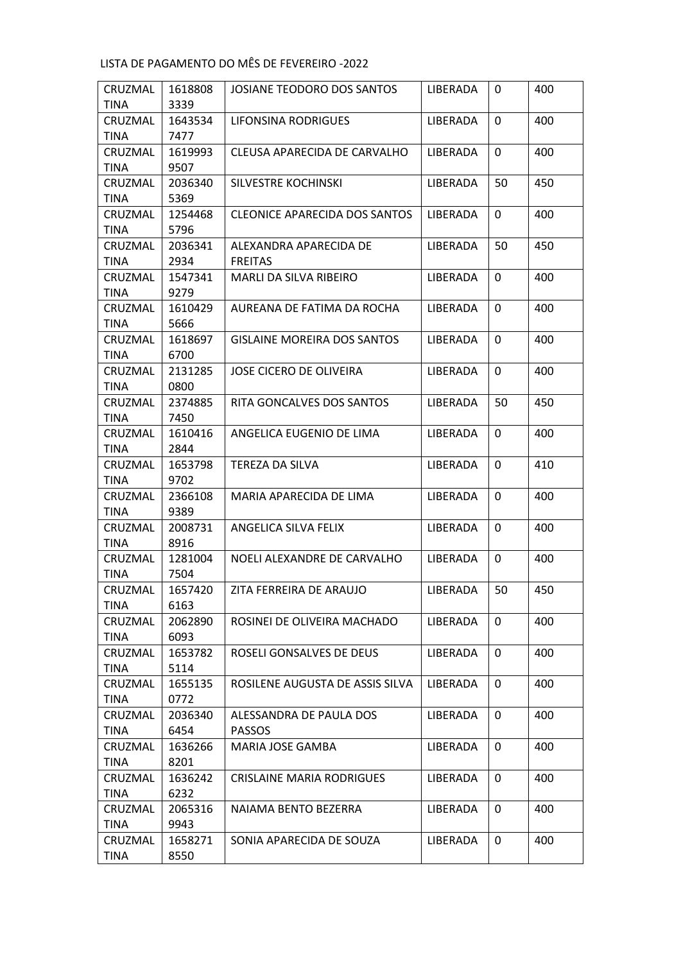| CRUZMAL     | 1618808 | JOSIANE TEODORO DOS SANTOS           | LIBERADA        | 0            | 400 |
|-------------|---------|--------------------------------------|-----------------|--------------|-----|
| <b>TINA</b> | 3339    |                                      |                 |              |     |
| CRUZMAL     | 1643534 | LIFONSINA RODRIGUES                  | LIBERADA        | 0            | 400 |
| <b>TINA</b> | 7477    |                                      |                 |              |     |
| CRUZMAL     | 1619993 | CLEUSA APARECIDA DE CARVALHO         | LIBERADA        | 0            | 400 |
| <b>TINA</b> | 9507    |                                      |                 |              |     |
| CRUZMAL     | 2036340 | SILVESTRE KOCHINSKI                  | LIBERADA        | 50           | 450 |
| <b>TINA</b> | 5369    |                                      |                 |              |     |
| CRUZMAL     | 1254468 | <b>CLEONICE APARECIDA DOS SANTOS</b> | LIBERADA        | 0            | 400 |
| <b>TINA</b> | 5796    |                                      |                 |              |     |
| CRUZMAL     | 2036341 | ALEXANDRA APARECIDA DE               | LIBERADA        | 50           | 450 |
| <b>TINA</b> | 2934    | <b>FREITAS</b>                       |                 |              |     |
| CRUZMAL     | 1547341 | MARLI DA SILVA RIBEIRO               | LIBERADA        | 0            | 400 |
| <b>TINA</b> | 9279    |                                      |                 |              |     |
| CRUZMAL     | 1610429 | AUREANA DE FATIMA DA ROCHA           | LIBERADA        | 0            | 400 |
| <b>TINA</b> | 5666    |                                      |                 |              |     |
| CRUZMAL     | 1618697 | <b>GISLAINE MOREIRA DOS SANTOS</b>   | LIBERADA        | 0            | 400 |
| <b>TINA</b> | 6700    |                                      |                 |              |     |
| CRUZMAL     | 2131285 | <b>JOSE CICERO DE OLIVEIRA</b>       | <b>LIBERADA</b> | 0            | 400 |
| <b>TINA</b> | 0800    |                                      |                 |              |     |
| CRUZMAL     | 2374885 | RITA GONCALVES DOS SANTOS            | <b>LIBERADA</b> | 50           | 450 |
| <b>TINA</b> | 7450    |                                      |                 |              |     |
| CRUZMAL     | 1610416 | ANGELICA EUGENIO DE LIMA             | LIBERADA        | $\mathbf{0}$ | 400 |
| <b>TINA</b> | 2844    |                                      |                 |              |     |
| CRUZMAL     | 1653798 | TEREZA DA SILVA                      | LIBERADA        | 0            | 410 |
| <b>TINA</b> | 9702    |                                      |                 |              |     |
| CRUZMAL     | 2366108 | MARIA APARECIDA DE LIMA              | LIBERADA        | 0            | 400 |
| <b>TINA</b> | 9389    |                                      |                 |              |     |
| CRUZMAL     | 2008731 | ANGELICA SILVA FELIX                 | LIBERADA        | $\Omega$     | 400 |
| <b>TINA</b> | 8916    |                                      |                 |              |     |
| CRUZMAL     | 1281004 | NOELI ALEXANDRE DE CARVALHO          | LIBERADA        | $\Omega$     | 400 |
| <b>TINA</b> | 7504    |                                      |                 |              |     |
| CRUZMAL     | 1657420 | ZITA FERREIRA DE ARAUJO              | LIBERADA        | 50           | 450 |
| TINA        | 6163    |                                      |                 |              |     |
| CRUZMAL     | 2062890 | ROSINEI DE OLIVEIRA MACHADO          | LIBERADA        | 0            | 400 |
| TINA        | 6093    |                                      |                 |              |     |
| CRUZMAL     | 1653782 | ROSELI GONSALVES DE DEUS             | <b>LIBERADA</b> | 0            | 400 |
| <b>TINA</b> | 5114    |                                      |                 |              |     |
| CRUZMAL     | 1655135 | ROSILENE AUGUSTA DE ASSIS SILVA      | LIBERADA        | 0            | 400 |
| TINA        | 0772    |                                      |                 |              |     |
| CRUZMAL     | 2036340 | ALESSANDRA DE PAULA DOS              | LIBERADA        | $\mathbf{0}$ | 400 |
| TINA        | 6454    | <b>PASSOS</b>                        |                 |              |     |
| CRUZMAL     | 1636266 | MARIA JOSE GAMBA                     | LIBERADA        | 0            | 400 |
| TINA        | 8201    |                                      |                 |              |     |
| CRUZMAL     | 1636242 | <b>CRISLAINE MARIA RODRIGUES</b>     | LIBERADA        | 0            | 400 |
| <b>TINA</b> | 6232    |                                      |                 |              |     |
| CRUZMAL     | 2065316 | NAIAMA BENTO BEZERRA                 | LIBERADA        | 0            | 400 |
| TINA        | 9943    |                                      |                 |              |     |
| CRUZMAL     | 1658271 | SONIA APARECIDA DE SOUZA             | LIBERADA        | 0            | 400 |
| <b>TINA</b> | 8550    |                                      |                 |              |     |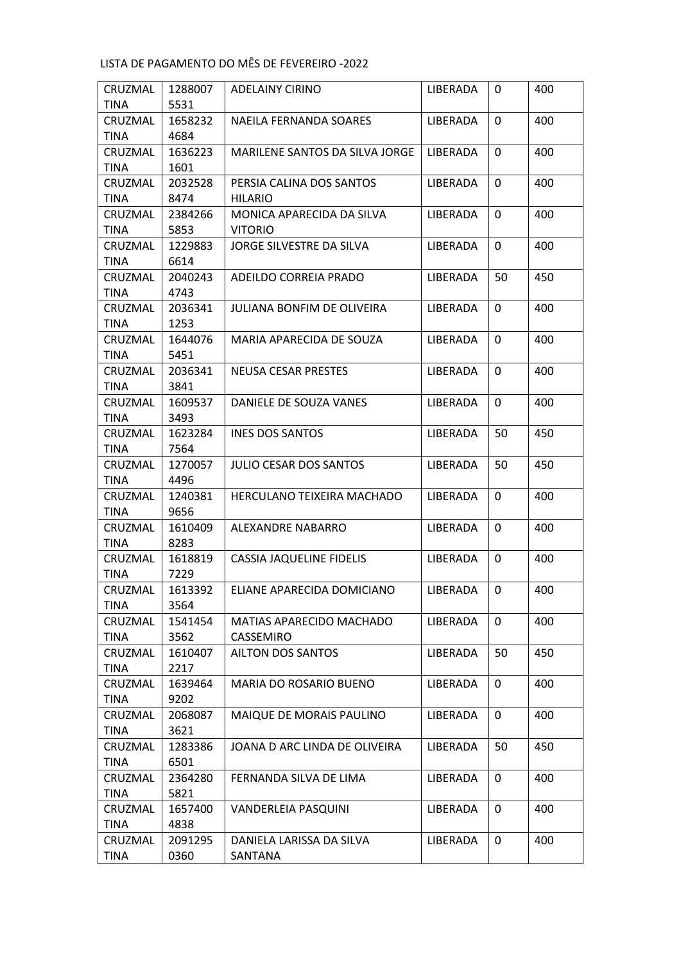| CRUZMAL     | 1288007 | ADELAINY CIRINO                | LIBERADA        | 0            | 400 |
|-------------|---------|--------------------------------|-----------------|--------------|-----|
| <b>TINA</b> | 5531    |                                |                 |              |     |
| CRUZMAL     | 1658232 | NAEILA FERNANDA SOARES         | LIBERADA        | 0            | 400 |
| <b>TINA</b> | 4684    |                                |                 |              |     |
| CRUZMAL     | 1636223 | MARILENE SANTOS DA SILVA JORGE | LIBERADA        | 0            | 400 |
| <b>TINA</b> | 1601    |                                |                 |              |     |
| CRUZMAL     | 2032528 | PERSIA CALINA DOS SANTOS       | LIBERADA        | 0            | 400 |
| <b>TINA</b> | 8474    | <b>HILARIO</b>                 |                 |              |     |
| CRUZMAL     | 2384266 | MONICA APARECIDA DA SILVA      | LIBERADA        | 0            | 400 |
| <b>TINA</b> | 5853    | <b>VITORIO</b>                 |                 |              |     |
| CRUZMAL     | 1229883 | JORGE SILVESTRE DA SILVA       | LIBERADA        | 0            | 400 |
| <b>TINA</b> | 6614    |                                |                 |              |     |
| CRUZMAL     | 2040243 | ADEILDO CORREIA PRADO          | LIBERADA        | 50           | 450 |
| <b>TINA</b> | 4743    |                                |                 |              |     |
| CRUZMAL     | 2036341 | JULIANA BONFIM DE OLIVEIRA     | <b>LIBERADA</b> | $\Omega$     | 400 |
| <b>TINA</b> | 1253    |                                |                 |              |     |
| CRUZMAL     | 1644076 | MARIA APARECIDA DE SOUZA       | LIBERADA        | $\Omega$     | 400 |
| <b>TINA</b> | 5451    |                                |                 |              |     |
| CRUZMAL     | 2036341 | <b>NEUSA CESAR PRESTES</b>     | LIBERADA        | 0            | 400 |
| <b>TINA</b> | 3841    |                                |                 |              |     |
| CRUZMAL     | 1609537 | DANIELE DE SOUZA VANES         | LIBERADA        | 0            | 400 |
| <b>TINA</b> | 3493    |                                |                 |              |     |
| CRUZMAL     | 1623284 | <b>INES DOS SANTOS</b>         | LIBERADA        | 50           | 450 |
| <b>TINA</b> | 7564    |                                |                 |              |     |
| CRUZMAL     | 1270057 | <b>JULIO CESAR DOS SANTOS</b>  | LIBERADA        | 50           | 450 |
| <b>TINA</b> | 4496    |                                |                 |              |     |
| CRUZMAL     | 1240381 | HERCULANO TEIXEIRA MACHADO     | LIBERADA        | $\mathbf{0}$ | 400 |
| <b>TINA</b> | 9656    |                                |                 |              |     |
| CRUZMAL     | 1610409 | ALEXANDRE NABARRO              | LIBERADA        | $\Omega$     | 400 |
| <b>TINA</b> | 8283    |                                |                 |              |     |
| CRUZMAL     | 1618819 | CASSIA JAQUELINE FIDELIS       | LIBERADA        | $\Omega$     | 400 |
| <b>TINA</b> | 7229    |                                |                 |              |     |
| CRUZMAL     | 1613392 | ELIANE APARECIDA DOMICIANO     | LIBERADA        | 0            | 400 |
| TINA        | 3564    |                                |                 |              |     |
| CRUZMAL     | 1541454 | MATIAS APARECIDO MACHADO       | LIBERADA        | 0            | 400 |
| TINA        | 3562    | CASSEMIRO                      |                 |              |     |
| CRUZMAL     | 1610407 | AILTON DOS SANTOS              | <b>LIBERADA</b> | 50           | 450 |
| <b>TINA</b> | 2217    |                                |                 |              |     |
| CRUZMAL     | 1639464 | <b>MARIA DO ROSARIO BUENO</b>  | LIBERADA        | 0            | 400 |
| TINA        | 9202    |                                |                 |              |     |
| CRUZMAL     | 2068087 | MAIQUE DE MORAIS PAULINO       | LIBERADA        | $\mathbf{0}$ | 400 |
| TINA        | 3621    |                                |                 |              |     |
| CRUZMAL     | 1283386 | JOANA D ARC LINDA DE OLIVEIRA  | LIBERADA        | 50           | 450 |
| TINA        | 6501    |                                |                 |              |     |
| CRUZMAL     | 2364280 | FERNANDA SILVA DE LIMA         | LIBERADA        | 0            | 400 |
| <b>TINA</b> | 5821    |                                |                 |              |     |
| CRUZMAL     | 1657400 | VANDERLEIA PASQUINI            | LIBERADA        | 0            | 400 |
| TINA        | 4838    |                                |                 |              |     |
| CRUZMAL     | 2091295 | DANIELA LARISSA DA SILVA       | LIBERADA        | 0            | 400 |
| <b>TINA</b> | 0360    | SANTANA                        |                 |              |     |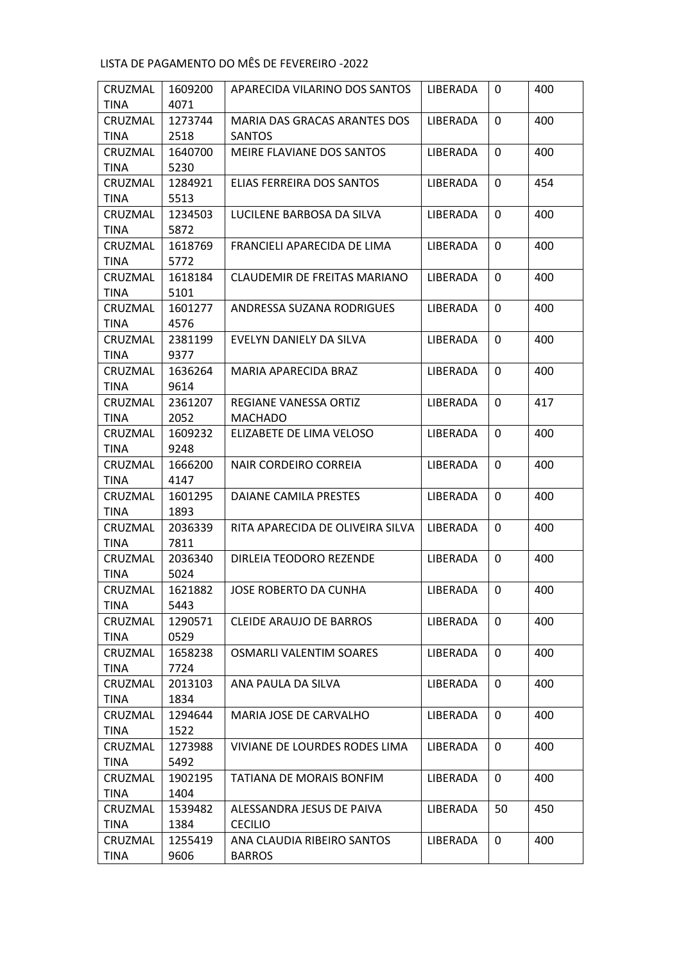| CRUZMAL     | 1609200 | APARECIDA VILARINO DOS SANTOS       | LIBERADA        | 0            | 400 |
|-------------|---------|-------------------------------------|-----------------|--------------|-----|
| <b>TINA</b> | 4071    |                                     |                 |              |     |
| CRUZMAL     | 1273744 | <b>MARIA DAS GRACAS ARANTES DOS</b> | LIBERADA        | 0            | 400 |
| <b>TINA</b> | 2518    | <b>SANTOS</b>                       |                 |              |     |
| CRUZMAL     | 1640700 | MEIRE FLAVIANE DOS SANTOS           | LIBERADA        | 0            | 400 |
| <b>TINA</b> | 5230    |                                     |                 |              |     |
| CRUZMAL     | 1284921 | ELIAS FERREIRA DOS SANTOS           | <b>LIBERADA</b> | 0            | 454 |
| <b>TINA</b> | 5513    |                                     |                 |              |     |
| CRUZMAL     | 1234503 | LUCILENE BARBOSA DA SILVA           | LIBERADA        | $\Omega$     | 400 |
| TINA        | 5872    |                                     |                 |              |     |
| CRUZMAL     | 1618769 | FRANCIELI APARECIDA DE LIMA         | LIBERADA        | 0            | 400 |
| <b>TINA</b> | 5772    |                                     |                 |              |     |
| CRUZMAL     | 1618184 | CLAUDEMIR DE FREITAS MARIANO        | LIBERADA        | 0            | 400 |
| <b>TINA</b> | 5101    |                                     |                 |              |     |
| CRUZMAL     | 1601277 | ANDRESSA SUZANA RODRIGUES           | <b>LIBERADA</b> | $\Omega$     | 400 |
| <b>TINA</b> | 4576    |                                     |                 |              |     |
| CRUZMAL     | 2381199 | EVELYN DANIELY DA SILVA             | LIBERADA        | $\mathbf{0}$ | 400 |
| <b>TINA</b> | 9377    |                                     |                 |              |     |
| CRUZMAL     | 1636264 | MARIA APARECIDA BRAZ                | LIBERADA        | 0            | 400 |
| <b>TINA</b> | 9614    |                                     |                 |              |     |
| CRUZMAL     | 2361207 | REGIANE VANESSA ORTIZ               | <b>LIBERADA</b> | $\Omega$     | 417 |
| TINA        | 2052    | <b>MACHADO</b>                      |                 |              |     |
| CRUZMAL     | 1609232 | ELIZABETE DE LIMA VELOSO            | LIBERADA        | $\Omega$     | 400 |
| TINA        | 9248    |                                     |                 |              |     |
| CRUZMAL     | 1666200 | NAIR CORDEIRO CORREIA               | LIBERADA        | $\Omega$     | 400 |
| <b>TINA</b> | 4147    |                                     |                 |              |     |
| CRUZMAL     | 1601295 | DAIANE CAMILA PRESTES               | LIBERADA        | 0            | 400 |
| <b>TINA</b> | 1893    |                                     |                 |              |     |
| CRUZMAL     | 2036339 | RITA APARECIDA DE OLIVEIRA SILVA    | LIBERADA        | $\Omega$     | 400 |
| TINA        | 7811    |                                     |                 |              |     |
| CRUZMAL     | 2036340 | DIRLEIA TEODORO REZENDE             | LIBERADA        | 0            | 400 |
| <b>TINA</b> | 5024    |                                     |                 |              |     |
| CRUZMAL     | 1621882 | JOSE ROBERTO DA CUNHA               | LIBERADA        | $\mathbf{0}$ | 400 |
| <b>TINA</b> | 5443    |                                     |                 |              |     |
| CRUZMAL     | 1290571 | <b>CLEIDE ARAUJO DE BARROS</b>      | LIBERADA        | $\mathbf{0}$ | 400 |
| <b>TINA</b> | 0529    |                                     |                 |              |     |
| CRUZMAL     | 1658238 | <b>OSMARLI VALENTIM SOARES</b>      | LIBERADA        | 0            | 400 |
| <b>TINA</b> | 7724    |                                     |                 |              |     |
| CRUZMAL     | 2013103 | ANA PAULA DA SILVA                  | LIBERADA        | 0            | 400 |
| <b>TINA</b> | 1834    |                                     |                 |              |     |
| CRUZMAL     | 1294644 | MARIA JOSE DE CARVALHO              | LIBERADA        | 0            | 400 |
| TINA        | 1522    |                                     |                 |              |     |
| CRUZMAL     | 1273988 | VIVIANE DE LOURDES RODES LIMA       | LIBERADA        | 0            | 400 |
| <b>TINA</b> | 5492    |                                     |                 |              |     |
| CRUZMAL     | 1902195 | TATIANA DE MORAIS BONFIM            | LIBERADA        | 0            | 400 |
| <b>TINA</b> | 1404    |                                     |                 |              |     |
| CRUZMAL     | 1539482 | ALESSANDRA JESUS DE PAIVA           | LIBERADA        | 50           | 450 |
| TINA        | 1384    | <b>CECILIO</b>                      |                 |              |     |
| CRUZMAL     | 1255419 | ANA CLAUDIA RIBEIRO SANTOS          | LIBERADA        | 0            | 400 |
| <b>TINA</b> | 9606    | <b>BARROS</b>                       |                 |              |     |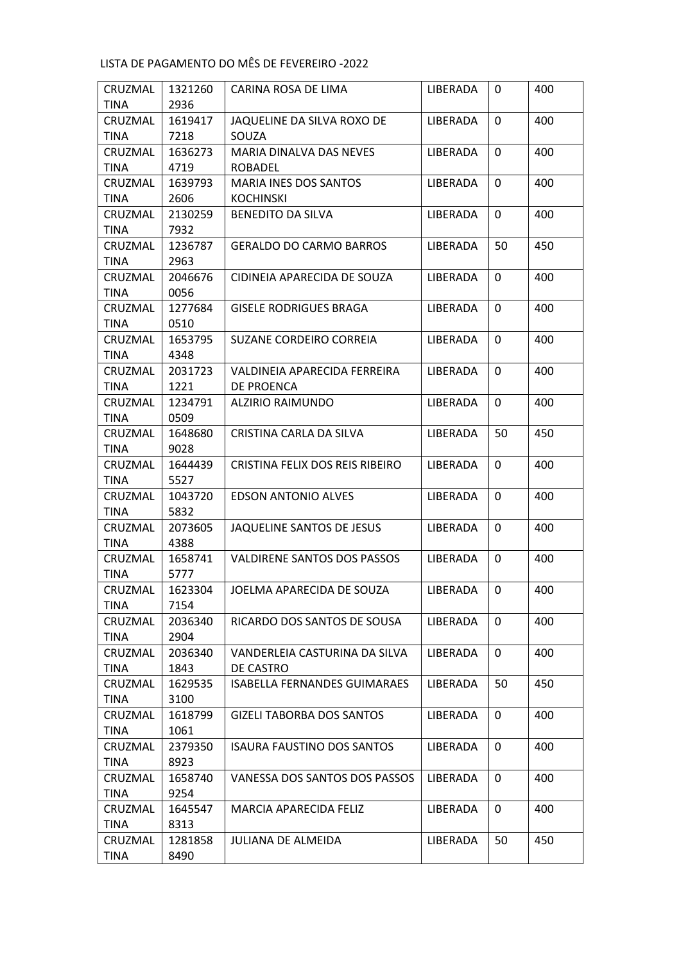| CRUZMAL     | 1321260 | CARINA ROSA DE LIMA                 | LIBERADA        | 0        | 400 |
|-------------|---------|-------------------------------------|-----------------|----------|-----|
| <b>TINA</b> | 2936    |                                     |                 |          |     |
| CRUZMAL     | 1619417 | JAQUELINE DA SILVA ROXO DE          | <b>LIBERADA</b> | 0        | 400 |
| <b>TINA</b> | 7218    | SOUZA                               |                 |          |     |
| CRUZMAL     | 1636273 | <b>MARIA DINALVA DAS NEVES</b>      | LIBERADA        | 0        | 400 |
| <b>TINA</b> | 4719    | <b>ROBADEL</b>                      |                 |          |     |
| CRUZMAL     | 1639793 | MARIA INES DOS SANTOS               | LIBERADA        | 0        | 400 |
| <b>TINA</b> | 2606    | <b>KOCHINSKI</b>                    |                 |          |     |
| CRUZMAL     | 2130259 | <b>BENEDITO DA SILVA</b>            | LIBERADA        | $\Omega$ | 400 |
| <b>TINA</b> | 7932    |                                     |                 |          |     |
| CRUZMAL     | 1236787 | <b>GERALDO DO CARMO BARROS</b>      | LIBERADA        | 50       | 450 |
| <b>TINA</b> | 2963    |                                     |                 |          |     |
| CRUZMAL     | 2046676 | CIDINEIA APARECIDA DE SOUZA         | LIBERADA        | 0        | 400 |
| <b>TINA</b> | 0056    |                                     |                 |          |     |
| CRUZMAL     | 1277684 | <b>GISELE RODRIGUES BRAGA</b>       | LIBERADA        | $\Omega$ | 400 |
| <b>TINA</b> | 0510    |                                     |                 |          |     |
| CRUZMAL     | 1653795 | SUZANE CORDEIRO CORREIA             | LIBERADA        | 0        | 400 |
| <b>TINA</b> | 4348    |                                     |                 |          |     |
| CRUZMAL     | 2031723 | VALDINEIA APARECIDA FERREIRA        | LIBERADA        | 0        | 400 |
| <b>TINA</b> | 1221    | DE PROENCA                          |                 |          |     |
| CRUZMAL     | 1234791 | ALZIRIO RAIMUNDO                    | LIBERADA        | $\Omega$ | 400 |
| <b>TINA</b> | 0509    |                                     |                 |          |     |
| CRUZMAL     | 1648680 | CRISTINA CARLA DA SILVA             | LIBERADA        | 50       | 450 |
| <b>TINA</b> | 9028    |                                     |                 |          |     |
| CRUZMAL     | 1644439 | CRISTINA FELIX DOS REIS RIBEIRO     | LIBERADA        | $\Omega$ | 400 |
| <b>TINA</b> | 5527    |                                     |                 |          |     |
| CRUZMAL     | 1043720 | <b>EDSON ANTONIO ALVES</b>          | LIBERADA        | 0        | 400 |
| <b>TINA</b> | 5832    |                                     |                 |          |     |
| CRUZMAL     | 2073605 | JAQUELINE SANTOS DE JESUS           | LIBERADA        | $\Omega$ | 400 |
| <b>TINA</b> | 4388    |                                     |                 |          |     |
| CRUZMAL     | 1658741 | <b>VALDIRENE SANTOS DOS PASSOS</b>  | LIBERADA        | 0        | 400 |
| <b>TINA</b> | 5777    |                                     |                 |          |     |
| CRUZMAL     | 1623304 | JOELMA APARECIDA DE SOUZA           | LIBERADA        | 0        | 400 |
| TINA        | 7154    |                                     |                 |          |     |
| CRUZMAL     | 2036340 | RICARDO DOS SANTOS DE SOUSA         | LIBERADA        | 0        | 400 |
| TINA        | 2904    |                                     |                 |          |     |
| CRUZMAL     | 2036340 | VANDERLEIA CASTURINA DA SILVA       | LIBERADA        | 0        | 400 |
| <b>TINA</b> | 1843    | DE CASTRO                           |                 |          |     |
| CRUZMAL     | 1629535 | <b>ISABELLA FERNANDES GUIMARAES</b> | LIBERADA        | 50       | 450 |
| TINA        | 3100    |                                     |                 |          |     |
| CRUZMAL     | 1618799 | <b>GIZELI TABORBA DOS SANTOS</b>    | LIBERADA        | 0        | 400 |
| TINA        | 1061    |                                     |                 |          |     |
| CRUZMAL     | 2379350 | <b>ISAURA FAUSTINO DOS SANTOS</b>   | LIBERADA        | 0        | 400 |
| <b>TINA</b> | 8923    |                                     |                 |          |     |
| CRUZMAL     | 1658740 | VANESSA DOS SANTOS DOS PASSOS       | LIBERADA        | 0        | 400 |
| <b>TINA</b> | 9254    |                                     |                 |          |     |
| CRUZMAL     | 1645547 | MARCIA APARECIDA FELIZ              | LIBERADA        | 0        | 400 |
| TINA        | 8313    |                                     |                 |          |     |
| CRUZMAL     | 1281858 | <b>JULIANA DE ALMEIDA</b>           | LIBERADA        | 50       | 450 |
| <b>TINA</b> | 8490    |                                     |                 |          |     |